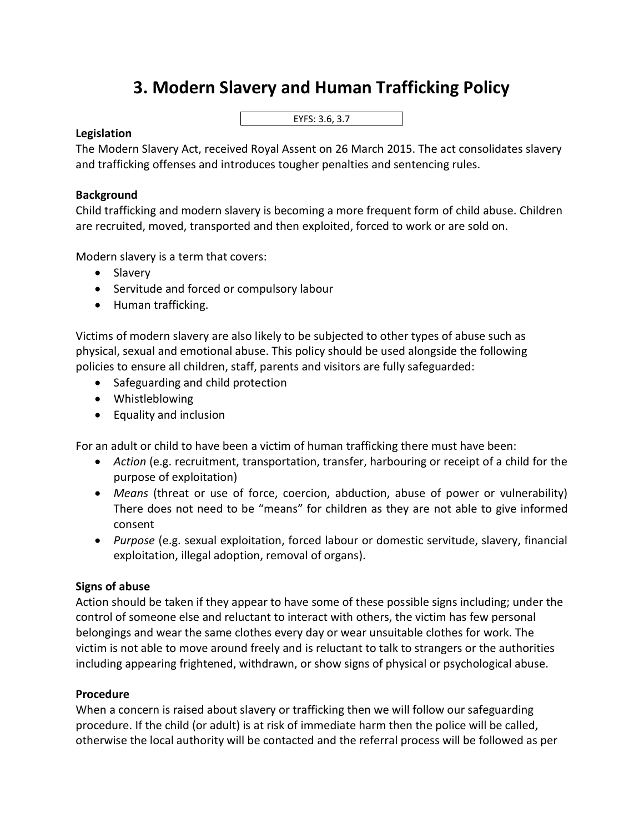# **3. Modern Slavery and Human Trafficking Policy**

EYFS: 3.6, 3.7

## **Legislation**

The Modern Slavery Act, received Royal Assent on 26 March 2015. The act consolidates slavery and trafficking offenses and introduces tougher penalties and sentencing rules.

## **Background**

Child trafficking and modern slavery is becoming a more frequent form of child abuse. Children are recruited, moved, transported and then exploited, forced to work or are sold on.

Modern slavery is a term that covers:

- Slavery
- Servitude and forced or compulsory labour
- Human trafficking.

Victims of modern slavery are also likely to be subjected to other types of abuse such as physical, sexual and emotional abuse. This policy should be used alongside the following policies to ensure all children, staff, parents and visitors are fully safeguarded:

- Safeguarding and child protection
- Whistleblowing
- Equality and inclusion

For an adult or child to have been a victim of human trafficking there must have been:

- *Action* (e.g. recruitment, transportation, transfer, harbouring or receipt of a child for the purpose of exploitation)
- *Means* (threat or use of force, coercion, abduction, abuse of power or vulnerability) There does not need to be "means" for children as they are not able to give informed consent
- *Purpose* (e.g. sexual exploitation, forced labour or domestic servitude, slavery, financial exploitation, illegal adoption, removal of organs).

## **Signs of abuse**

Action should be taken if they appear to have some of these possible signs including; under the control of someone else and reluctant to interact with others, the victim has few personal belongings and wear the same clothes every day or wear unsuitable clothes for work. The victim is not able to move around freely and is reluctant to talk to strangers or the authorities including appearing frightened, withdrawn, or show signs of physical or psychological abuse.

## **Procedure**

When a concern is raised about slavery or trafficking then we will follow our safeguarding procedure. If the child (or adult) is at risk of immediate harm then the police will be called, otherwise the local authority will be contacted and the referral process will be followed as per